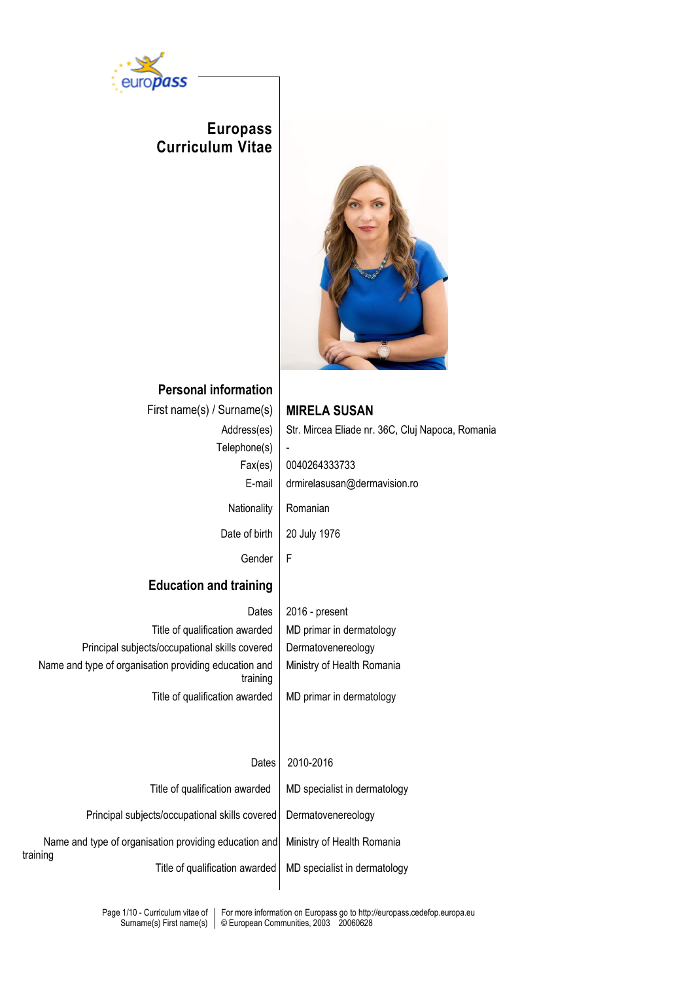

# **Europass Curriculum Vitae**



# **Personal information**

First name(s) / Surname(s) **MIRELA SUSAN** Telephone(s)

Address(es) Str. Mircea Eliade nr. 36C, Cluj Napoca, Romania Fax(es) 0040264333733 E-mail drmirelasusan@dermavision.ro

Nationality | Romanian

Date of birth | 20 July 1976

Gender F

## **Education and training**

Title of qualification awarded  $\parallel$  MD primar in dermatology Principal subjects/occupational skills covered | Dermatovenereology Name and type of organisation providing education and training Title of qualification awarded

Dates | 2016 - present Ministry of Health Romania

MD primar in dermatology

#### Dates 2010-2016

|          | Title of qualification awarded                                                     | MD specialist in dermatology                                  |
|----------|------------------------------------------------------------------------------------|---------------------------------------------------------------|
|          | Principal subjects/occupational skills covered   Dermatovenereology                |                                                               |
|          | Name and type of organisation providing education and   Ministry of Health Romania |                                                               |
| training |                                                                                    | Title of qualification awarded   MD specialist in dermatology |

 $\overline{\phantom{a}}$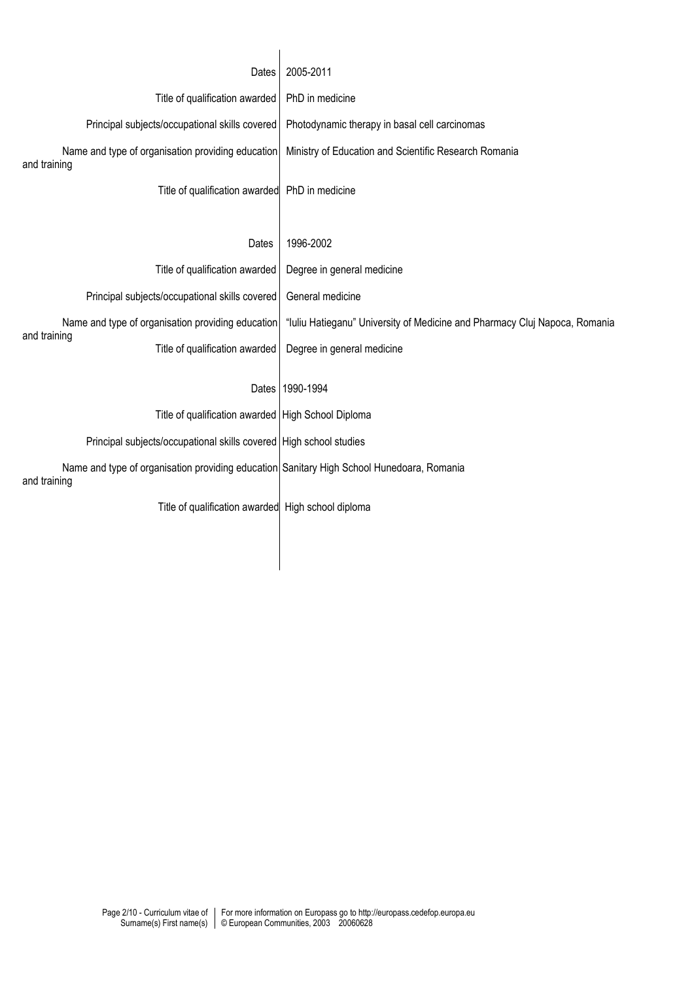|              | Dates                                                                                     | 2005-2011                                                                  |
|--------------|-------------------------------------------------------------------------------------------|----------------------------------------------------------------------------|
|              | Title of qualification awarded                                                            | PhD in medicine                                                            |
|              | Principal subjects/occupational skills covered                                            | Photodynamic therapy in basal cell carcinomas                              |
| and training | Name and type of organisation providing education                                         | Ministry of Education and Scientific Research Romania                      |
|              | Title of qualification awarded PhD in medicine                                            |                                                                            |
|              | Dates                                                                                     | 1996-2002                                                                  |
| and training | Title of qualification awarded                                                            | Degree in general medicine                                                 |
|              | Principal subjects/occupational skills covered                                            | General medicine                                                           |
|              | Name and type of organisation providing education                                         | "Iuliu Hatieganu" University of Medicine and Pharmacy Cluj Napoca, Romania |
|              | Title of qualification awarded                                                            | Degree in general medicine                                                 |
|              | Dates                                                                                     | 1990-1994                                                                  |
|              | Title of qualification awarded   High School Diploma                                      |                                                                            |
|              | Principal subjects/occupational skills covered   High school studies                      |                                                                            |
| and training | Name and type of organisation providing education Sanitary High School Hunedoara, Romania |                                                                            |
|              | Title of qualification awarded High school diploma                                        |                                                                            |
|              |                                                                                           |                                                                            |

 $\overline{\phantom{a}}$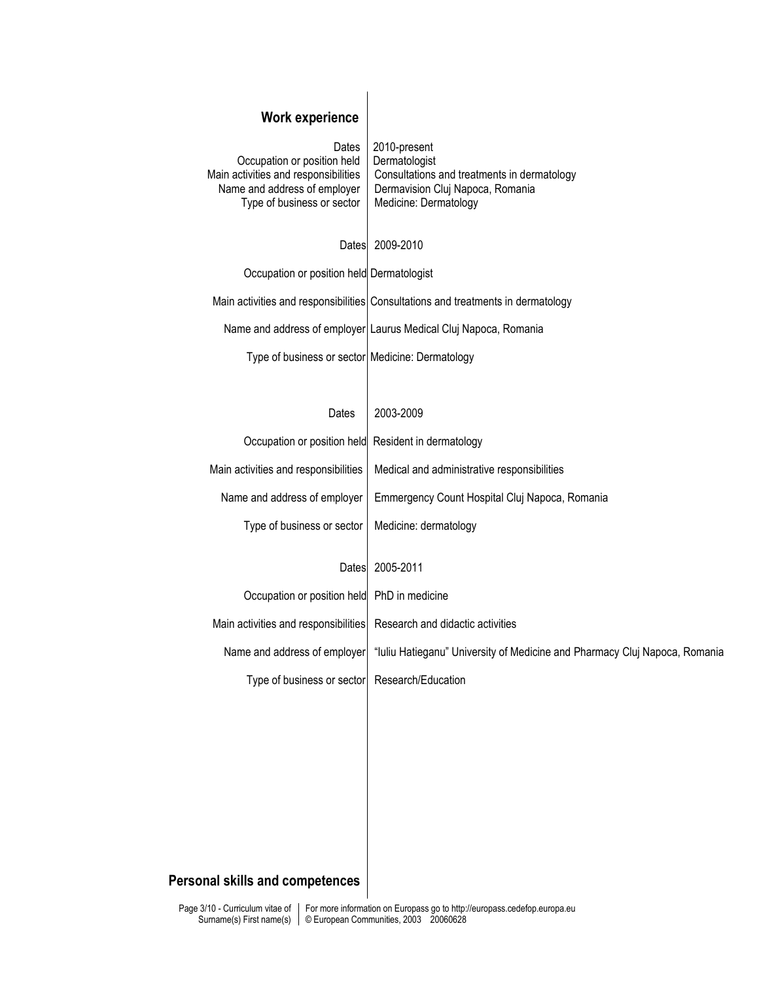| <b>Work experience</b><br>Dates<br>Occupation or position held<br>Main activities and responsibilities<br>Name and address of employer<br>Type of business or sector<br>Dates<br>Occupation or position held Dermatologist | 2010-present<br>Dermatologist<br>Consultations and treatments in dermatology<br>Dermavision Cluj Napoca, Romania<br>Medicine: Dermatology<br>2009-2010<br>Main activities and responsibilities Consultations and treatments in dermatology<br>Name and address of employer Laurus Medical Cluj Napoca, Romania |
|----------------------------------------------------------------------------------------------------------------------------------------------------------------------------------------------------------------------------|----------------------------------------------------------------------------------------------------------------------------------------------------------------------------------------------------------------------------------------------------------------------------------------------------------------|
| Type of business or sector Medicine: Dermatology                                                                                                                                                                           |                                                                                                                                                                                                                                                                                                                |
| Dates<br>Occupation or position held<br>Main activities and responsibilities<br>Name and address of employer<br>Type of business or sector                                                                                 | 2003-2009<br>Resident in dermatology<br>Medical and administrative responsibilities<br>Emmergency Count Hospital Cluj Napoca, Romania<br>Medicine: dermatology                                                                                                                                                 |
| <b>Dates</b>                                                                                                                                                                                                               | 2005-2011                                                                                                                                                                                                                                                                                                      |
| Occupation or position held PhD in medicine                                                                                                                                                                                |                                                                                                                                                                                                                                                                                                                |
| Main activities and responsibilities                                                                                                                                                                                       | Research and didactic activities                                                                                                                                                                                                                                                                               |
| Name and address of employer                                                                                                                                                                                               | "Iuliu Hatieganu" University of Medicine and Pharmacy Cluj Napoca, Romania                                                                                                                                                                                                                                     |
| Type of business or sector                                                                                                                                                                                                 | Research/Education                                                                                                                                                                                                                                                                                             |

# **Personal skills and competences**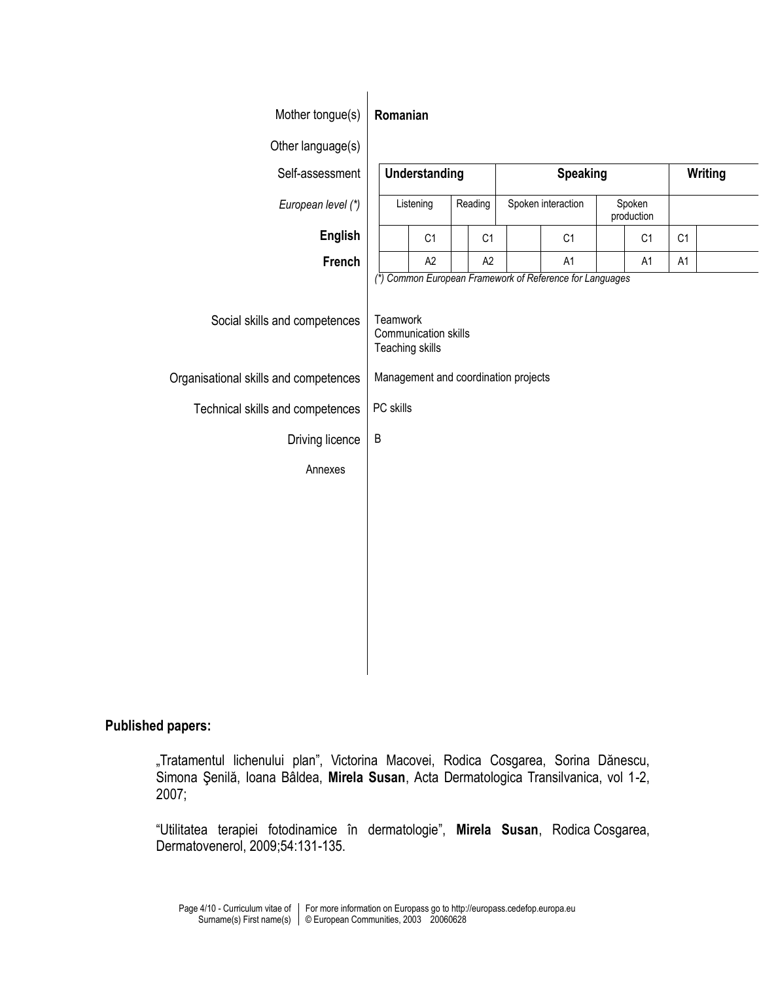| Mother tongue(s)                                                                                                                         | Romanian                                                                                                                                                                        |         |                    |                      |         |  |
|------------------------------------------------------------------------------------------------------------------------------------------|---------------------------------------------------------------------------------------------------------------------------------------------------------------------------------|---------|--------------------|----------------------|---------|--|
| Other language(s)                                                                                                                        |                                                                                                                                                                                 |         |                    |                      |         |  |
| Self-assessment                                                                                                                          | <b>Understanding</b>                                                                                                                                                            |         | <b>Speaking</b>    |                      | Writing |  |
| European level (*)                                                                                                                       | Listening                                                                                                                                                                       | Reading | Spoken interaction | Spoken<br>production |         |  |
| <b>English</b>                                                                                                                           | C <sub>1</sub>                                                                                                                                                                  | C1      | C1                 | C1                   | C1      |  |
| French                                                                                                                                   | A2                                                                                                                                                                              | A2      | A <sub>1</sub>     | A <sub>1</sub>       | A1      |  |
| Social skills and competences<br>Organisational skills and competences<br>Technical skills and competences<br>Driving licence<br>Annexes | (*) Common European Framework of Reference for Languages<br>Teamwork<br>Communication skills<br>Teaching skills<br>Management and coordination projects<br>PC skills<br>$\sf B$ |         |                    |                      |         |  |
|                                                                                                                                          |                                                                                                                                                                                 |         |                    |                      |         |  |

# **Published papers:**

"Tratamentul lichenului plan", Victorina Macovei, Rodica Cosgarea, Sorina Dănescu, Simona Şenilă, Ioana Bâldea, **Mirela Susan**, Acta Dermatologica Transilvanica, vol 1-2, 2007;

"Utilitatea terapiei fotodinamice în dermatologie", **Mirela Susan**, Rodica Cosgarea, Dermatovenerol, 2009;54:131-135.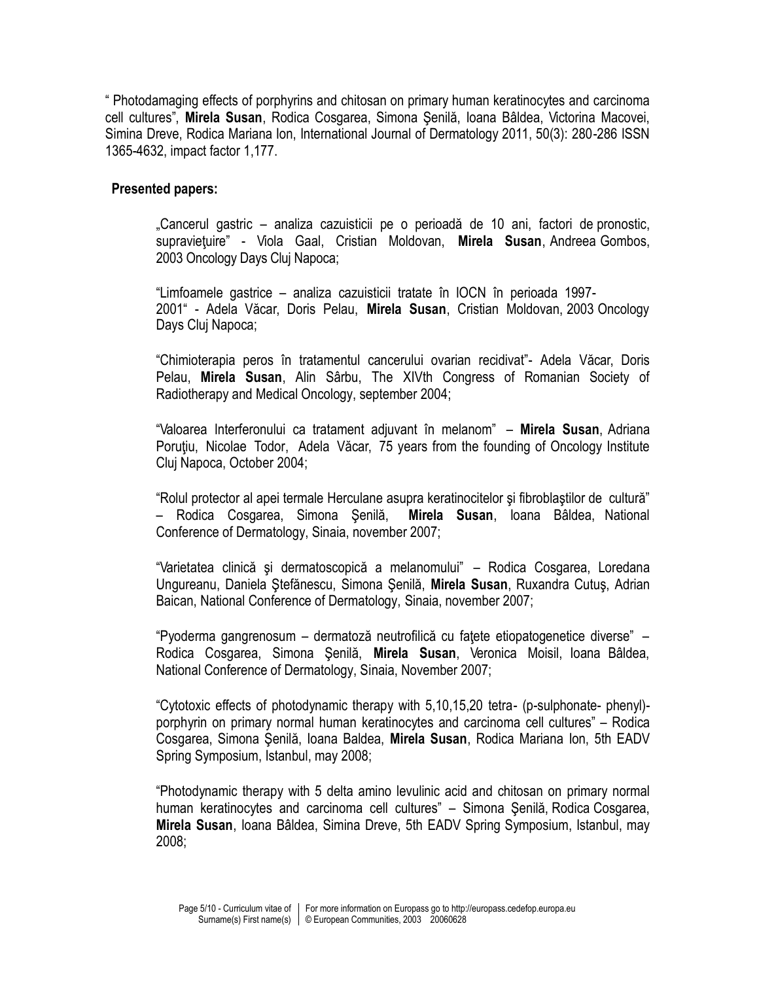" Photodamaging effects of porphyrins and chitosan on primary human keratinocytes and carcinoma cell cultures", **Mirela Susan**, Rodica Cosgarea, Simona Şenilă, Ioana Bâldea, Victorina Macovei, Simina Dreve, Rodica Mariana Ion, International Journal of Dermatology 2011, 50(3): 280-286 ISSN 1365-4632, impact factor 1,177.

#### **Presented papers:**

"Cancerul gastric – analiza cazuisticii pe o perioadă de 10 ani, factori de pronostic, supravieţuire" - Viola Gaal, Cristian Moldovan, **Mirela Susan**, Andreea Gombos, 2003 Oncology Days Cluj Napoca;

"Limfoamele gastrice – analiza cazuisticii tratate în IOCN în perioada 1997- 2001" - Adela Văcar, Doris Pelau, **Mirela Susan**, Cristian Moldovan, 2003 Oncology Days Cluj Napoca;

"Chimioterapia peros în tratamentul cancerului ovarian recidivat"- Adela Văcar, Doris Pelau, **Mirela Susan**, Alin Sârbu, The XIVth Congress of Romanian Society of Radiotherapy and Medical Oncology, september 2004;

"Valoarea Interferonului ca tratament adjuvant în melanom" – **Mirela Susan**, Adriana Porutiu, Nicolae Todor, Adela Văcar, 75 years from the founding of Oncology Institute Cluj Napoca, October 2004;

"Rolul protector al apei termale Herculane asupra keratinocitelor şi fibroblaştilor de cultură" – Rodica Cosgarea, Simona Şenilă, **Mirela Susan**, Ioana Bâldea, National Conference of Dermatology, Sinaia, november 2007;

"Varietatea clinică şi dermatoscopică a melanomului" – Rodica Cosgarea, Loredana Ungureanu, Daniela Ştefănescu, Simona Şenilă, **Mirela Susan**, Ruxandra Cutuş, Adrian Baican, National Conference of Dermatology, Sinaia, november 2007;

"Pyoderma gangrenosum – dermatoză neutrofilică cu faţete etiopatogenetice diverse" – Rodica Cosgarea, Simona Şenilă, **Mirela Susan**, Veronica Moisil, Ioana Bâldea, National Conference of Dermatology, Sinaia, November 2007;

"Cytotoxic effects of photodynamic therapy with 5,10,15,20 tetra- (p-sulphonate- phenyl) porphyrin on primary normal human keratinocytes and carcinoma cell cultures" – Rodica Cosgarea, Simona Şenilă, Ioana Baldea, **Mirela Susan**, Rodica Mariana Ion, 5th EADV Spring Symposium, Istanbul, may 2008;

"Photodynamic therapy with 5 delta amino levulinic acid and chitosan on primary normal human keratinocytes and carcinoma cell cultures" – Simona Şenilă, Rodica Cosgarea, **Mirela Susan**, Ioana Bâldea, Simina Dreve, 5th EADV Spring Symposium, Istanbul, may 2008;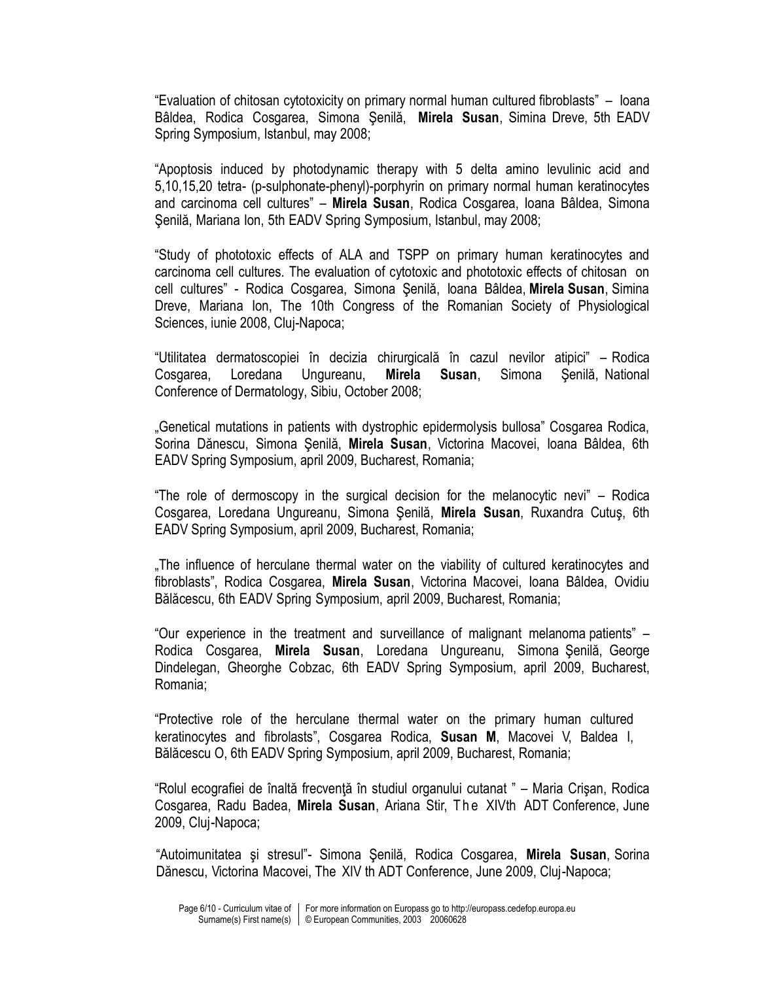"Evaluation of chitosan cytotoxicity on primary normal human cultured fibroblasts" – Ioana Bâldea, Rodica Cosgarea, Simona Şenilă, **Mirela Susan**, Simina Dreve, 5th EADV Spring Symposium, Istanbul, may 2008;

"Apoptosis induced by photodynamic therapy with 5 delta amino levulinic acid and 5,10,15,20 tetra- (p-sulphonate-phenyl)-porphyrin on primary normal human keratinocytes and carcinoma cell cultures" – **Mirela Susan**, Rodica Cosgarea, Ioana Bâldea, Simona Şenilă, Mariana Ion, 5th EADV Spring Symposium, Istanbul, may 2008;

"Study of phototoxic effects of ALA and TSPP on primary human keratinocytes and carcinoma cell cultures. The evaluation of cytotoxic and phototoxic effects of chitosan on cell cultures" - Rodica Cosgarea, Simona Şenilă, Ioana Bâldea, **Mirela Susan**, Simina Dreve, Mariana Ion, The 10th Congress of the Romanian Society of Physiological Sciences, iunie 2008, Cluj-Napoca;

"Utilitatea dermatoscopiei în decizia chirurgicală în cazul nevilor atipici" – Rodica Cosgarea, Loredana Ungureanu, **Mirela Susan**, Simona Şenilă, National Conference of Dermatology, Sibiu, October 2008;

"Genetical mutations in patients with dystrophic epidermolysis bullosa" Cosgarea Rodica, Sorina Dănescu, Simona Şenilă, **Mirela Susan**, Victorina Macovei, Ioana Bâldea, 6th EADV Spring Symposium, april 2009, Bucharest, Romania;

"The role of dermoscopy in the surgical decision for the melanocytic nevi" – Rodica Cosgarea, Loredana Ungureanu, Simona Şenilă, **Mirela Susan**, Ruxandra Cutuş, 6th EADV Spring Symposium, april 2009, Bucharest, Romania;

"The influence of herculane thermal water on the viability of cultured keratinocytes and fibroblasts", Rodica Cosgarea, **Mirela Susan**, Victorina Macovei, Ioana Bâldea, Ovidiu Bălăcescu, 6th EADV Spring Symposium, april 2009, Bucharest, Romania;

"Our experience in the treatment and surveillance of malignant melanoma patients" – Rodica Cosgarea, **Mirela Susan**, Loredana Ungureanu, Simona Şenilă, George Dindelegan, Gheorghe Cobzac, 6th EADV Spring Symposium, april 2009, Bucharest, Romania;

"Protective role of the herculane thermal water on the primary human cultured keratinocytes and fibrolasts", Cosgarea Rodica, **Susan M**, Macovei V, Baldea I, Bălăcescu O, 6th EADV Spring Symposium, april 2009, Bucharest, Romania;

"Rolul ecografiei de înaltă frecvenţă în studiul organului cutanat " – Maria Crişan, Rodica Cosgarea, Radu Badea, Mirela Susan, Ariana Stir, The XIVth ADT Conference, June 2009, Cluj-Napoca;

"Autoimunitatea şi stresul"- Simona Şenilă, Rodica Cosgarea, **Mirela Susan**, Sorina Dănescu, Victorina Macovei, The XIV th ADT Conference, June 2009, Cluj-Napoca;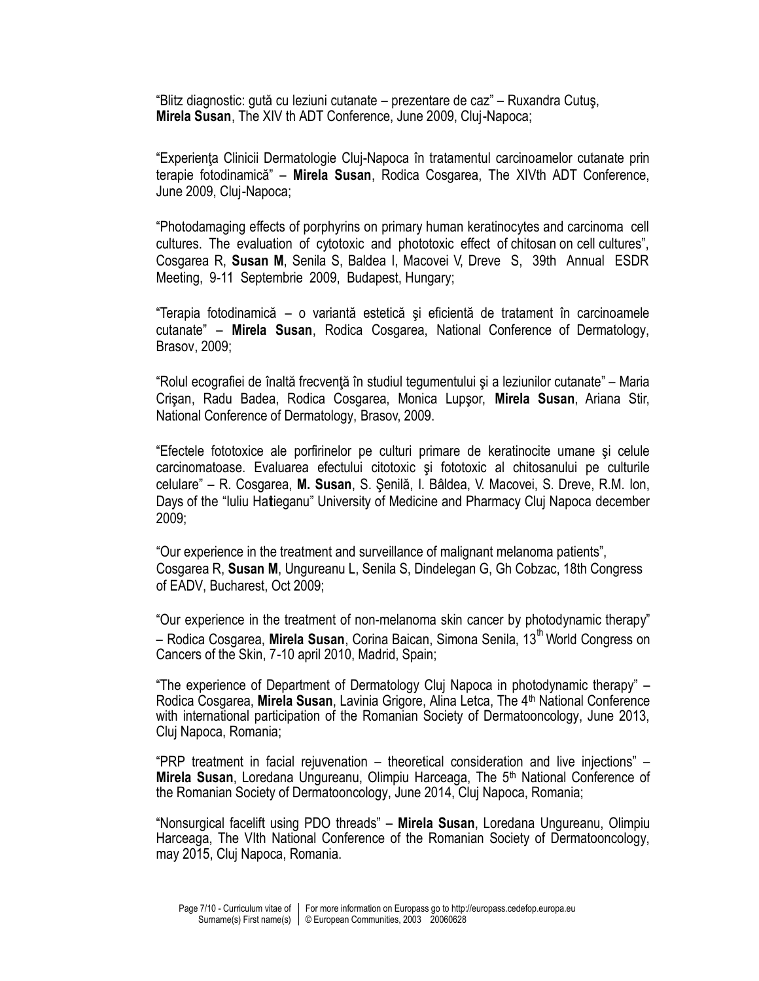"Blitz diagnostic: gută cu leziuni cutanate – prezentare de caz" – Ruxandra Cutuş, **Mirela Susan**, The XIV th ADT Conference, June 2009, Cluj-Napoca;

"Experienţa Clinicii Dermatologie Cluj-Napoca în tratamentul carcinoamelor cutanate prin terapie fotodinamică" – **Mirela Susan**, Rodica Cosgarea, The XIVth ADT Conference, June 2009, Cluj-Napoca;

"Photodamaging effects of porphyrins on primary human keratinocytes and carcinoma cell cultures. The evaluation of cytotoxic and phototoxic effect of chitosan on cell cultures", Cosgarea R, **Susan M**, Senila S, Baldea I, Macovei V, Dreve S, 39th Annual ESDR Meeting, 9-11 Septembrie 2009, Budapest, Hungary;

"Terapia fotodinamică – o variantă estetică şi eficientă de tratament în carcinoamele cutanate" – **Mirela Susan**, Rodica Cosgarea, National Conference of Dermatology, Brasov, 2009;

"Rolul ecografiei de înaltă frecvenţă în studiul tegumentului şi a leziunilor cutanate" – Maria Crişan, Radu Badea, Rodica Cosgarea, Monica Lupşor, **Mirela Susan**, Ariana Stir, National Conference of Dermatology, Brasov, 2009.

"Efectele fototoxice ale porfirinelor pe culturi primare de keratinocite umane şi celule carcinomatoase. Evaluarea efectului citotoxic şi fototoxic al chitosanului pe culturile celulare" – R. Cosgarea, **M. Susan**, S. Şenilă, I. Bâldea, V. Macovei, S. Dreve, R.M. Ion, Days of the "Iuliu Hatieganu" University of Medicine and Pharmacy Cluj Napoca december 2009;

 "Our experience in the treatment and surveillance of malignant melanoma patients", Cosgarea R, **Susan M**, Ungureanu L, Senila S, Dindelegan G, Gh Cobzac, 18th Congress of EADV, Bucharest, Oct 2009;

"Our experience in the treatment of non-melanoma skin cancer by photodynamic therapy" – Rodica Cosgarea, **Mirela Susan**, Corina Baican, Simona Senila, 13 th World Congress on Cancers of the Skin, 7-10 april 2010, Madrid, Spain;

"The experience of Department of Dermatology Cluj Napoca in photodynamic therapy" – Rodica Cosgarea, Mirela Susan, Lavinia Grigore, Alina Letca, The 4<sup>th</sup> National Conference with international participation of the Romanian Society of Dermatooncology, June 2013, Cluj Napoca, Romania;

"PRP treatment in facial rejuvenation – theoretical consideration and live injections" – **Mirela Susan, Loredana Ungureanu, Olimpiu Harceaga, The 5<sup>th</sup> National Conference of** the Romanian Society of Dermatooncology, June 2014, Cluj Napoca, Romania;

"Nonsurgical facelift using PDO threads" – **Mirela Susan**, Loredana Ungureanu, Olimpiu Harceaga, The VIth National Conference of the Romanian Society of Dermatooncology, may 2015, Cluj Napoca, Romania.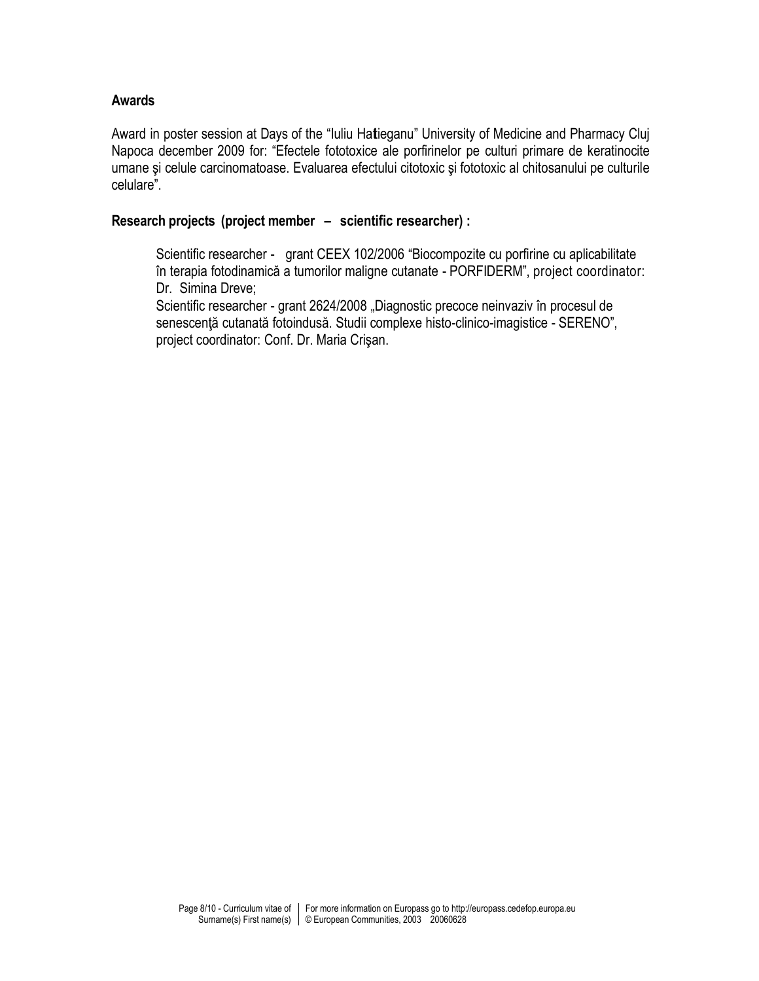### **Awards**

Award in poster session at Days of the "Iuliu Hatieganu" University of Medicine and Pharmacy Cluj Napoca december 2009 for: "Efectele fototoxice ale porfirinelor pe culturi primare de keratinocite umane şi celule carcinomatoase. Evaluarea efectului citotoxic şi fototoxic al chitosanului pe culturile celulare".

#### **Research projects (project member – scientific researcher) :**

Scientific researcher - grant CEEX 102/2006 "Biocompozite cu porfirine cu aplicabilitate în terapia fotodinamică a tumorilor maligne cutanate - PORFIDERM", project coordinator: Dr. Simina Dreve;

Scientific researcher - grant 2624/2008 "Diagnostic precoce neinvaziv în procesul de senescență cutanată fotoindusă. Studii complexe histo-clinico-imagistice - SERENO", project coordinator: Conf. Dr. Maria Crişan.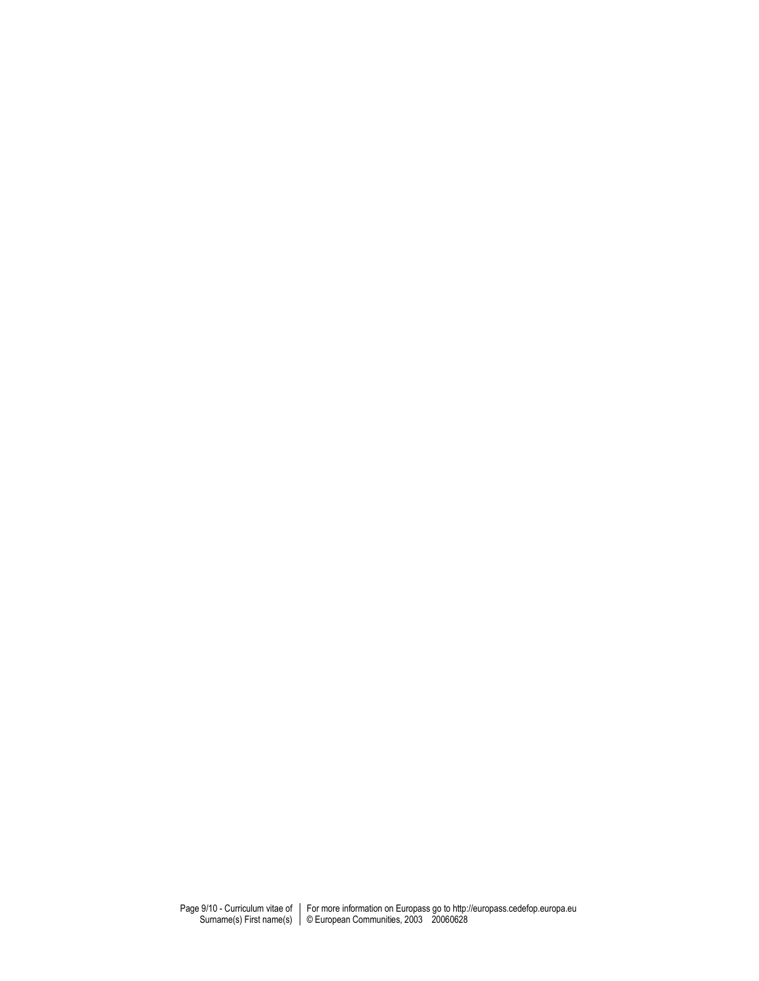Page 9/10 - Curriculum vitae of Surname(s) First name(s) For more information on Europass go to http://europass.cedefop.europa.eu © European Communities, 2003 20060628